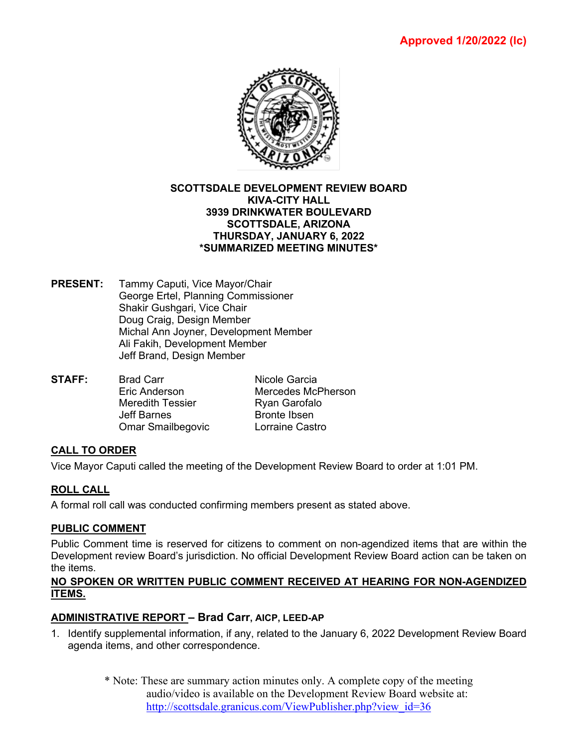

#### **SCOTTSDALE DEVELOPMENT REVIEW BOARD KIVA-CITY HALL 3939 DRINKWATER BOULEVARD SCOTTSDALE, ARIZONA THURSDAY, JANUARY 6, 2022 \*SUMMARIZED MEETING MINUTES\***

- **PRESENT:** Tammy Caputi, Vice Mayor/Chair George Ertel, Planning Commissioner Shakir Gushgari, Vice Chair Doug Craig, Design Member Michal Ann Joyner, Development Member Ali Fakih, Development Member Jeff Brand, Design Member
- **STAFF:** Brad Carr **Nicole Garcia**<br>Fric Anderson Mercedes Mc Mercedes McPherson Meredith Tessier **Ryan Garofalo** Jeff Barnes **Bronte Ibsen** Omar Smailbegovic Lorraine Castro

## **CALL TO ORDER**

Vice Mayor Caputi called the meeting of the Development Review Board to order at 1:01 PM.

## **ROLL CALL**

A formal roll call was conducted confirming members present as stated above.

#### **PUBLIC COMMENT**

Public Comment time is reserved for citizens to comment on non-agendized items that are within the Development review Board's jurisdiction. No official Development Review Board action can be taken on the items.

#### **NO SPOKEN OR WRITTEN PUBLIC COMMENT RECEIVED AT HEARING FOR NON-AGENDIZED ITEMS.**

## **ADMINISTRATIVE REPORT – Brad Carr, AICP, LEED-AP**

- 1. Identify supplemental information, if any, related to the January 6, 2022 Development Review Board agenda items, and other correspondence.
	- \* Note: These are summary action minutes only. A complete copy of the meeting audio/video is available on the Development Review Board website at: [http://scottsdale.granicus.com/ViewPublisher.php?view\\_id=36](http://scottsdale.granicus.com/ViewPublisher.php?view_id=36)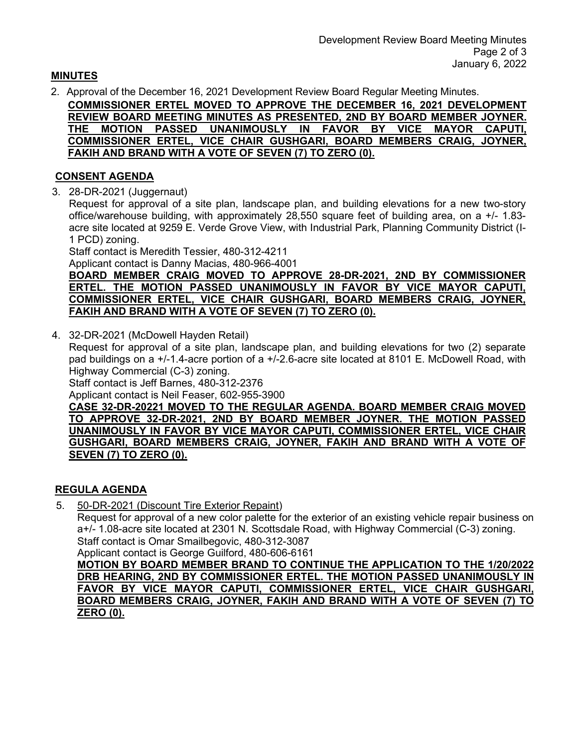#### **MINUTES**

2. Approval of the December 16, 2021 Development Review Board Regular Meeting Minutes.

**COMMISSIONER ERTEL MOVED TO APPROVE THE DECEMBER 16, 2021 DEVELOPMENT REVIEW BOARD MEETING MINUTES AS PRESENTED, 2ND BY BOARD MEMBER JOYNER. THE MOTION PASSED UNANIMOUSLY IN FAVOR BY VICE MAYOR CAPUTI, COMMISSIONER ERTEL, VICE CHAIR GUSHGARI, BOARD MEMBERS CRAIG, JOYNER, FAKIH AND BRAND WITH A VOTE OF SEVEN (7) TO ZERO (0).**

#### **CONSENT AGENDA**

3. 28-DR-2021 (Juggernaut)

Request for approval of a site plan, landscape plan, and building elevations for a new two-story office/warehouse building, with approximately 28,550 square feet of building area, on a +/- 1.83 acre site located at 9259 E. Verde Grove View, with Industrial Park, Planning Community District (I-1 PCD) zoning.

Staff contact is Meredith Tessier, 480-312-4211

Applicant contact is Danny Macias, 480-966-4001

**BOARD MEMBER CRAIG MOVED TO APPROVE 28-DR-2021, 2ND BY COMMISSIONER ERTEL. THE MOTION PASSED UNANIMOUSLY IN FAVOR BY VICE MAYOR CAPUTI, COMMISSIONER ERTEL, VICE CHAIR GUSHGARI, BOARD MEMBERS CRAIG, JOYNER, FAKIH AND BRAND WITH A VOTE OF SEVEN (7) TO ZERO (0).**

4. 32-DR-2021 (McDowell Hayden Retail)

Request for approval of a site plan, landscape plan, and building elevations for two (2) separate pad buildings on a +/-1.4-acre portion of a +/-2.6-acre site located at 8101 E. McDowell Road, with Highway Commercial (C-3) zoning.

Staff contact is Jeff Barnes, 480-312-2376

Applicant contact is Neil Feaser, 602-955-3900

**CASE 32-DR-20221 MOVED TO THE REGULAR AGENDA. BOARD MEMBER CRAIG MOVED TO APPROVE 32-DR-2021, 2ND BY BOARD MEMBER JOYNER. THE MOTION PASSED UNANIMOUSLY IN FAVOR BY VICE MAYOR CAPUTI, COMMISSIONER ERTEL, VICE CHAIR GUSHGARI, BOARD MEMBERS CRAIG, JOYNER, FAKIH AND BRAND WITH A VOTE OF SEVEN (7) TO ZERO (0).**

## **REGULA AGENDA**

5. 50-DR-2021 (Discount Tire Exterior Repaint)

Request for approval of a new color palette for the exterior of an existing vehicle repair business on a+/- 1.08-acre site located at 2301 N. Scottsdale Road, with Highway Commercial (C-3) zoning. Staff contact is Omar Smailbegovic, 480-312-3087

Applicant contact is George Guilford, 480-606-6161

**MOTION BY BOARD MEMBER BRAND TO CONTINUE THE APPLICATION TO THE 1/20/2022 DRB HEARING, 2ND BY COMMISSIONER ERTEL. THE MOTION PASSED UNANIMOUSLY IN FAVOR BY VICE MAYOR CAPUTI, COMMISSIONER ERTEL, VICE CHAIR GUSHGARI, BOARD MEMBERS CRAIG, JOYNER, FAKIH AND BRAND WITH A VOTE OF SEVEN (7) TO ZERO (0).**